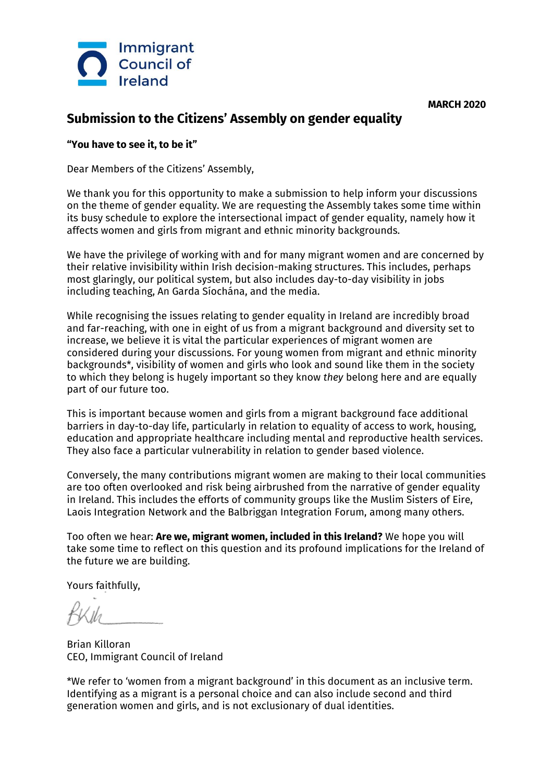



## **Submission to the Citizens' Assembly on gender equality**

## **"You have to see it, to be it"**

Dear Members of the Citizens' Assembly,

We thank you for this opportunity to make a submission to help inform your discussions on the theme of gender equality. We are requesting the Assembly takes some time within its busy schedule to explore the intersectional impact of gender equality, namely how it affects women and girls from migrant and ethnic minority backgrounds.

We have the privilege of working with and for many migrant women and are concerned by their relative invisibility within Irish decision-making structures. This includes, perhaps most glaringly, our political system, but also includes day-to-day visibility in jobs including teaching, An Garda Síochána, and the media.

While recognising the issues relating to gender equality in Ireland are incredibly broad and far-reaching, with one in eight of us from a migrant background and diversity set to increase, we believe it is vital the particular experiences of migrant women are considered during your discussions. For young women from migrant and ethnic minority backgrounds\*, visibility of women and girls who look and sound like them in the society to which they belong is hugely important so they know *they* belong here and are equally part of our future too.

This is important because women and girls from a migrant background face additional barriers in day-to-day life, particularly in relation to equality of access to work, housing, education and appropriate healthcare including mental and reproductive health services. They also face a particular vulnerability in relation to gender based violence.

Conversely, the many contributions migrant women are making to their local communities are too often overlooked and risk being airbrushed from the narrative of gender equality in Ireland. This includes the efforts of community groups like the Muslim Sisters of Eire, Laois Integration Network and the Balbriggan Integration Forum, among many others.

Too often we hear: **Are we, migrant women, included in this Ireland?** We hope you will take some time to reflect on this question and its profound implications for the Ireland of the future we are building.

Yours faithfully,

Brian Killoran CEO, Immigrant Council of Ireland

\*We refer to 'women from a migrant background' in this document as an inclusive term. Identifying as a migrant is a personal choice and can also include second and third generation women and girls, and is not exclusionary of dual identities.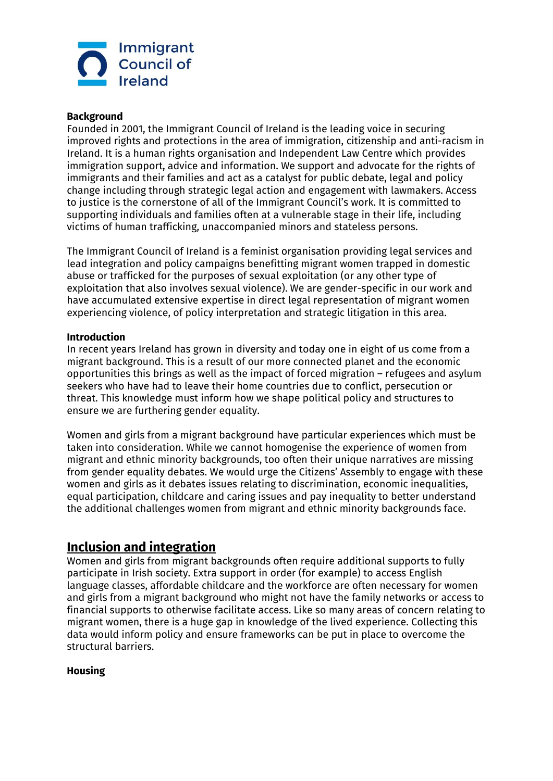

#### **Background**

Founded in 2001, the Immigrant Council of Ireland is the leading voice in securing improved rights and protections in the area of immigration, citizenship and anti-racism in Ireland. It is a human rights organisation and Independent Law Centre which provides immigration support, advice and information. We support and advocate for the rights of immigrants and their families and act as a catalyst for public debate, legal and policy change including through strategic legal action and engagement with lawmakers. Access to justice is the cornerstone of all of the Immigrant Council's work. It is committed to supporting individuals and families often at a vulnerable stage in their life, including victims of human trafficking, unaccompanied minors and stateless persons.

The Immigrant Council of Ireland is a feminist organisation providing legal services and lead integration and policy campaigns benefitting migrant women trapped in domestic abuse or trafficked for the purposes of sexual exploitation (or any other type of exploitation that also involves sexual violence). We are gender-specific in our work and have accumulated extensive expertise in direct legal representation of migrant women experiencing violence, of policy interpretation and strategic litigation in this area.

#### **Introduction**

In recent years Ireland has grown in diversity and today one in eight of us come from a migrant background. This is a result of our more connected planet and the economic opportunities this brings as well as the impact of forced migration – refugees and asylum seekers who have had to leave their home countries due to conflict, persecution or threat. This knowledge must inform how we shape political policy and structures to ensure we are furthering gender equality.

Women and girls from a migrant background have particular experiences which must be taken into consideration. While we cannot homogenise the experience of women from migrant and ethnic minority backgrounds, too often their unique narratives are missing from gender equality debates. We would urge the Citizens' Assembly to engage with these women and girls as it debates issues relating to discrimination, economic inequalities, equal participation, childcare and caring issues and pay inequality to better understand the additional challenges women from migrant and ethnic minority backgrounds face.

## **Inclusion and integration**

Women and girls from migrant backgrounds often require additional supports to fully participate in Irish society. Extra support in order (for example) to access English language classes, affordable childcare and the workforce are often necessary for women and girls from a migrant background who might not have the family networks or access to financial supports to otherwise facilitate access. Like so many areas of concern relating to migrant women, there is a huge gap in knowledge of the lived experience. Collecting this data would inform policy and ensure frameworks can be put in place to overcome the structural barriers.

#### **Housing**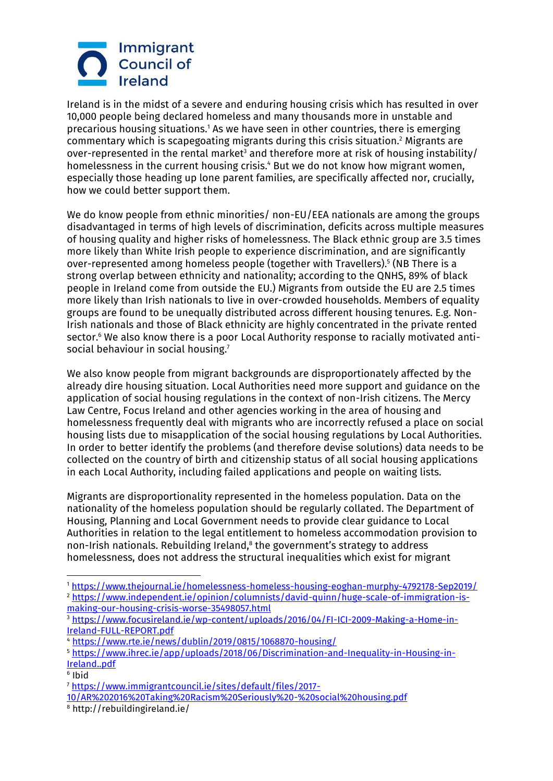# Immigrant **Council of** Ireland

Ireland is in the midst of a severe and enduring housing crisis which has resulted in over 10,000 people being declared homeless and many thousands more in unstable and precarious housing situations.<sup>1</sup> As we have seen in other countries, there is emerging commentary which is scapegoating migrants during this crisis situation.<sup>2</sup> Migrants are over-represented in the rental market<sup>3</sup> and therefore more at risk of housing instability/ homelessness in the current housing crisis.<sup>4</sup> But we do not know how migrant women, especially those heading up lone parent families, are specifically affected nor, crucially, how we could better support them.

We do know people from ethnic minorities/ non-EU/EEA nationals are among the groups disadvantaged in terms of high levels of discrimination, deficits across multiple measures of housing quality and higher risks of homelessness. The Black ethnic group are 3.5 times more likely than White Irish people to experience discrimination, and are significantly over-represented among homeless people (together with Travellers).<sup>5</sup> (NB There is a strong overlap between ethnicity and nationality; according to the QNHS, 89% of black people in Ireland come from outside the EU.) Migrants from outside the EU are 2.5 times more likely than Irish nationals to live in over-crowded households. Members of equality groups are found to be unequally distributed across different housing tenures. E.g. Non-Irish nationals and those of Black ethnicity are highly concentrated in the private rented sector.<sup>6</sup> We also know there is a poor Local Authority response to racially motivated antisocial behaviour in social housing.<sup>7</sup>

We also know people from migrant backgrounds are disproportionately affected by the already dire housing situation. Local Authorities need more support and guidance on the application of social housing regulations in the context of non-Irish citizens. The Mercy Law Centre, Focus Ireland and other agencies working in the area of housing and homelessness frequently deal with migrants who are incorrectly refused a place on social housing lists due to misapplication of the social housing regulations by Local Authorities. In order to better identify the problems (and therefore devise solutions) data needs to be collected on the country of birth and citizenship status of all social housing applications in each Local Authority, including failed applications and people on waiting lists.

Migrants are disproportionality represented in the homeless population. Data on the nationality of the homeless population should be regularly collated. The Department of Housing, Planning and Local Government needs to provide clear guidance to Local Authorities in relation to the legal entitlement to homeless accommodation provision to non-Irish nationals. Rebuilding Ireland,<sup>8</sup> the government's strategy to address homelessness, does not address the structural inequalities which exist for migrant

<sup>4</sup> <https://www.rte.ie/news/dublin/2019/0815/1068870-housing/>

<sup>8</sup> http://rebuildingireland.ie/

1

<sup>1</sup> <https://www.thejournal.ie/homelessness-homeless-housing-eoghan-murphy-4792178-Sep2019/> <sup>2</sup> [https://www.independent.ie/opinion/columnists/david-quinn/huge-scale-of-immigration-is](https://www.independent.ie/opinion/columnists/david-quinn/huge-scale-of-immigration-is-making-our-housing-crisis-worse-35498057.html)[making-our-housing-crisis-worse-35498057.html](https://www.independent.ie/opinion/columnists/david-quinn/huge-scale-of-immigration-is-making-our-housing-crisis-worse-35498057.html)

<sup>&</sup>lt;sup>3</sup> [https://www.focusireland.ie/wp-content/uploads/2016/04/FI-ICI-2009-Making-a-Home-in-](https://www.focusireland.ie/wp-content/uploads/2016/04/FI-ICI-2009-Making-a-Home-in-Ireland-FULL-REPORT.pdf)[Ireland-FULL-REPORT.pdf](https://www.focusireland.ie/wp-content/uploads/2016/04/FI-ICI-2009-Making-a-Home-in-Ireland-FULL-REPORT.pdf)

<sup>5</sup> [https://www.ihrec.ie/app/uploads/2018/06/Discrimination-and-Inequality-in-Housing-in-](https://www.ihrec.ie/app/uploads/2018/06/Discrimination-and-Inequality-in-Housing-in-Ireland..pdf)[Ireland..pdf](https://www.ihrec.ie/app/uploads/2018/06/Discrimination-and-Inequality-in-Housing-in-Ireland..pdf)

<sup>6</sup> Ibid <sup>7</sup> [https://www.immigrantcouncil.ie/sites/default/files/2017-](https://www.immigrantcouncil.ie/sites/default/files/2017-10/AR%202016%20Taking%20Racism%20Seriously%20-%20social%20housing.pdf)

[<sup>10/</sup>AR%202016%20Taking%20Racism%20Seriously%20-%20social%20housing.pdf](https://www.immigrantcouncil.ie/sites/default/files/2017-10/AR%202016%20Taking%20Racism%20Seriously%20-%20social%20housing.pdf)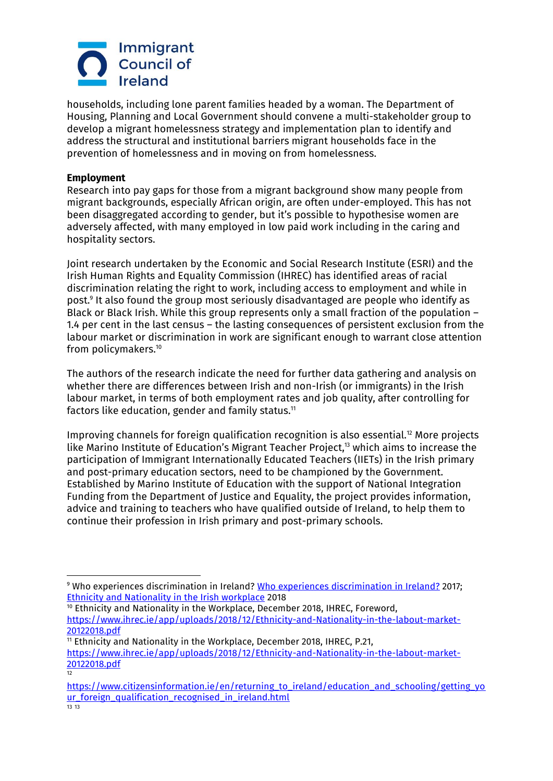

households, including lone parent families headed by a woman. The Department of Housing, Planning and Local Government should convene a multi-stakeholder group to develop a migrant homelessness strategy and implementation plan to identify and address the structural and institutional barriers migrant households face in the prevention of homelessness and in moving on from homelessness.

#### **Employment**

1

Research into pay gaps for those from a migrant background show many people from migrant backgrounds, especially African origin, are often under-employed. This has not been disaggregated according to gender, but it's possible to hypothesise women are adversely affected, with many employed in low paid work including in the caring and hospitality sectors.

Joint research undertaken by the Economic and Social Research Institute (ESRI) and the Irish Human Rights and Equality Commission (IHREC) has identified areas of racial discrimination relating the right to work, including access to employment and while in post.<sup>9</sup> It also found the group most seriously disadvantaged are people who identify as Black or Black Irish. While this group represents only a small fraction of the population – 1.4 per cent in the last census – the lasting consequences of persistent exclusion from the labour market or discrimination in work are significant enough to warrant close attention from policymakers.<sup>10</sup>

The authors of the research indicate the need for further data gathering and analysis on whether there are differences between Irish and non-Irish (or immigrants) in the Irish labour market, in terms of both employment rates and job quality, after controlling for factors like education, gender and family status. $11$ 

Improving channels for foreign qualification recognition is also essential.<sup>12</sup> More projects like Marino Institute of Education's Migrant Teacher Project, <sup>13</sup> which aims to increase the participation of Immigrant Internationally Educated Teachers (IIETs) in the Irish primary and post-primary education sectors, need to be championed by the Government. Established by Marino Institute of Education with the support of National Integration Funding from the Department of Justice and Equality, the project provides information, advice and training to teachers who have qualified outside of Ireland, to help them to continue their profession in Irish primary and post-primary schools.

<sup>9</sup> Who experiences discrimination in Ireland? [Who experiences discrimination in Ireland?](https://www.ihrec.ie/experiences-discrimination-ireland/) 2017; [Ethnicity and Nationality in the Irish workplace](https://www.ihrec.ie/black-non-irish-five-times-more-likely-to-experience-discrimination-seeking-work-in-ireland-more-than-twice-as-likely-to-experience-workplace-discrimination/) 2018

<sup>&</sup>lt;sup>10</sup> Ethnicity and Nationality in the Workplace, December 2018, IHREC, Foreword, [https://www.ihrec.ie/app/uploads/2018/12/Ethnicity-and-Nationality-in-the-labout-market-](https://www.ihrec.ie/app/uploads/2018/12/Ethnicity-and-Nationality-in-the-labout-market-20122018.pdf)[20122018.pdf](https://www.ihrec.ie/app/uploads/2018/12/Ethnicity-and-Nationality-in-the-labout-market-20122018.pdf)

<sup>&</sup>lt;sup>11</sup> Ethnicity and Nationality in the Workplace, December 2018, IHREC, P.21, [https://www.ihrec.ie/app/uploads/2018/12/Ethnicity-and-Nationality-in-the-labout-market-](https://www.ihrec.ie/app/uploads/2018/12/Ethnicity-and-Nationality-in-the-labout-market-20122018.pdf)[20122018.pdf](https://www.ihrec.ie/app/uploads/2018/12/Ethnicity-and-Nationality-in-the-labout-market-20122018.pdf) 12

[https://www.citizensinformation.ie/en/returning\\_to\\_ireland/education\\_and\\_schooling/getting\\_yo](https://www.citizensinformation.ie/en/returning_to_ireland/education_and_schooling/getting_your_foreign_qualification_recognised_in_ireland.html) [ur\\_foreign\\_qualification\\_recognised\\_in\\_ireland.html](https://www.citizensinformation.ie/en/returning_to_ireland/education_and_schooling/getting_your_foreign_qualification_recognised_in_ireland.html) 13 13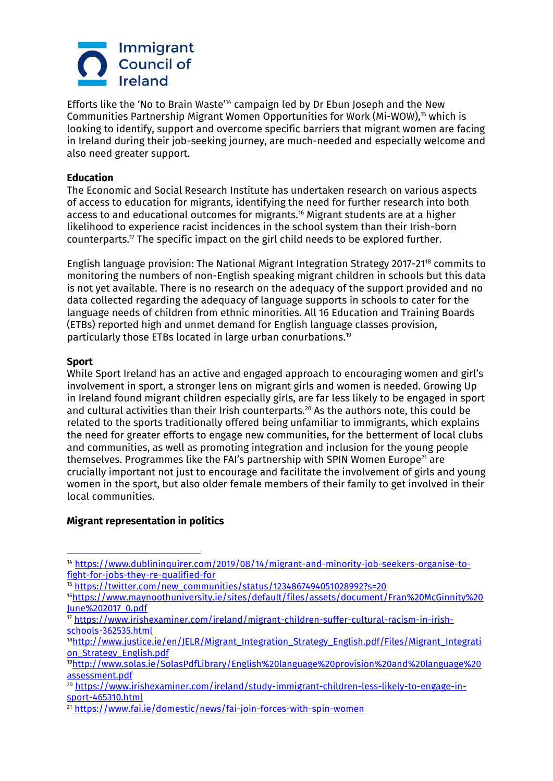

Efforts like the 'No to Brain Waste'<sup>14</sup> campaign led by Dr Ebun Joseph and the New Communities Partnership Migrant Women Opportunities for Work (Mi-WOW),<sup>15</sup> which is looking to identify, support and overcome specific barriers that migrant women are facing in Ireland during their job-seeking journey, are much-needed and especially welcome and also need greater support.

## **Education**

The Economic and Social Research Institute has undertaken research on various aspects of access to education for migrants, identifying the need for further research into both access to and educational outcomes for migrants.<sup>16</sup> Migrant students are at a higher likelihood to experience racist incidences in the school system than their Irish-born counterparts.<sup> $17$ </sup> The specific impact on the girl child needs to be explored further.

English language provision: The National Migrant Integration Strategy 2017-21<sup>18</sup> commits to monitoring the numbers of non-English speaking migrant children in schools but this data is not yet available. There is no research on the adequacy of the support provided and no data collected regarding the adequacy of language supports in schools to cater for the language needs of children from ethnic minorities. All 16 Education and Training Boards (ETBs) reported high and unmet demand for English language classes provision, particularly those ETBs located in large urban conurbations.<sup>19</sup>

#### **Sport**

While Sport Ireland has an active and engaged approach to encouraging women and girl's involvement in sport, a stronger lens on migrant girls and women is needed. Growing Up in Ireland found migrant children especially girls, are far less likely to be engaged in sport and cultural activities than their Irish counterparts.<sup>20</sup> As the authors note, this could be related to the sports traditionally offered being unfamiliar to immigrants, which explains the need for greater efforts to engage new communities, for the betterment of local clubs and communities, as well as promoting integration and inclusion for the young people themselves. Programmes like the FAI's partnership with SPIN Women Europe<sup>21</sup> are crucially important not just to encourage and facilitate the involvement of girls and young women in the sport, but also older female members of their family to get involved in their local communities.

#### **Migrant representation in politics**

<sup>1</sup> <sup>14</sup> [https://www.dublininquirer.com/2019/08/14/migrant-and-minority-job-seekers-organise-to](https://www.dublininquirer.com/2019/08/14/migrant-and-minority-job-seekers-organise-to-fight-for-jobs-they-re-qualified-for)[fight-for-jobs-they-re-qualified-for](https://www.dublininquirer.com/2019/08/14/migrant-and-minority-job-seekers-organise-to-fight-for-jobs-they-re-qualified-for)

<sup>15</sup> [https://twitter.com/new\\_communities/status/1234867494051028992?s=20](https://twitter.com/new_communities/status/1234867494051028992?s=20)

<sup>16</sup>[https://www.maynoothuniversity.ie/sites/default/files/assets/document/Fran%20McGinnity%20](https://www.maynoothuniversity.ie/sites/default/files/assets/document/Fran%20McGinnity%20June%202017_0.pdf) [June%202017\\_0.pdf](https://www.maynoothuniversity.ie/sites/default/files/assets/document/Fran%20McGinnity%20June%202017_0.pdf)

<sup>17</sup> [https://www.irishexaminer.com/ireland/migrant-children-suffer-cultural-racism-in-irish](https://www.irishexaminer.com/ireland/migrant-children-suffer-cultural-racism-in-irish-schools-362535.html)[schools-362535.html](https://www.irishexaminer.com/ireland/migrant-children-suffer-cultural-racism-in-irish-schools-362535.html)

<sup>18</sup>[http://www.justice.ie/en/JELR/Migrant\\_Integration\\_Strategy\\_English.pdf/Files/Migrant\\_Integrati](http://www.justice.ie/en/JELR/Migrant_Integration_Strategy_English.pdf/Files/Migrant_Integration_Strategy_English.pdf) [on\\_Strategy\\_English.pdf](http://www.justice.ie/en/JELR/Migrant_Integration_Strategy_English.pdf/Files/Migrant_Integration_Strategy_English.pdf)

<sup>19</sup>[http://www.solas.ie/SolasPdfLibrary/English%20language%20provision%20and%20language%20](http://www.solas.ie/SolasPdfLibrary/English%20language%20provision%20and%20language%20assessment.pdf) [assessment.pdf](http://www.solas.ie/SolasPdfLibrary/English%20language%20provision%20and%20language%20assessment.pdf)

<sup>20</sup> [https://www.irishexaminer.com/ireland/study-immigrant-children-less-likely-to-engage-in](https://www.irishexaminer.com/ireland/study-immigrant-children-less-likely-to-engage-in-sport-465310.html)[sport-465310.html](https://www.irishexaminer.com/ireland/study-immigrant-children-less-likely-to-engage-in-sport-465310.html)

<sup>21</sup> <https://www.fai.ie/domestic/news/fai-join-forces-with-spin-women>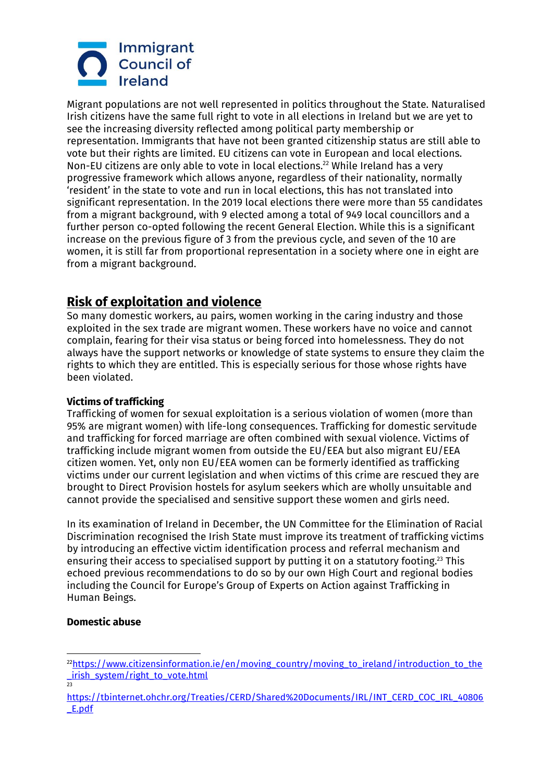# Immigrant **Council of** Ireland

Migrant populations are not well represented in politics throughout the State. Naturalised Irish citizens have the same full right to vote in all elections in Ireland but we are yet to see the increasing diversity reflected among political party membership or representation. Immigrants that have not been granted citizenship status are still able to vote but their rights are limited. EU citizens can vote in European and local elections. Non-EU citizens are only able to vote in local elections.<sup>22</sup> While Ireland has a very progressive framework which allows anyone, regardless of their nationality, normally 'resident' in the state to vote and run in local elections, this has not translated into significant representation. In the 2019 local elections there were more than 55 candidates from a migrant background, with 9 elected among a total of 949 local councillors and a further person co-opted following the recent General Election. While this is a significant increase on the previous figure of 3 from the previous cycle, and seven of the 10 are women, it is still far from proportional representation in a society where one in eight are from a migrant background.

## **Risk of exploitation and violence**

So many domestic workers, au pairs, women working in the caring industry and those exploited in the sex trade are migrant women. These workers have no voice and cannot complain, fearing for their visa status or being forced into homelessness. They do not always have the support networks or knowledge of state systems to ensure they claim the rights to which they are entitled. This is especially serious for those whose rights have been violated.

## **Victims of trafficking**

Trafficking of women for sexual exploitation is a serious violation of women (more than 95% are migrant women) with life-long consequences. Trafficking for domestic servitude and trafficking for forced marriage are often combined with sexual violence. Victims of trafficking include migrant women from outside the EU/EEA but also migrant EU/EEA citizen women. Yet, only non EU/EEA women can be formerly identified as trafficking victims under our current legislation and when victims of this crime are rescued they are brought to Direct Provision hostels for asylum seekers which are wholly unsuitable and cannot provide the specialised and sensitive support these women and girls need.

In its examination of Ireland in December, the UN Committee for the Elimination of Racial Discrimination recognised the Irish State must improve its treatment of trafficking victims by introducing an effective victim identification process and referral mechanism and ensuring their access to specialised support by putting it on a statutory footing.<sup>23</sup> This echoed previous recommendations to do so by our own High Court and regional bodies including the Council for Europe's Group of Experts on Action against Trafficking in Human Beings.

### **Domestic abuse**

<sup>1</sup>  $^{22}$ [https://www.citizensinformation.ie/en/moving\\_country/moving\\_to\\_ireland/introduction\\_to\\_the](https://www.citizensinformation.ie/en/moving_country/moving_to_ireland/introduction_to_the_irish_system/right_to_vote.html) [\\_irish\\_system/right\\_to\\_vote.html](https://www.citizensinformation.ie/en/moving_country/moving_to_ireland/introduction_to_the_irish_system/right_to_vote.html)<br>23

[https://tbinternet.ohchr.org/Treaties/CERD/Shared%20Documents/IRL/INT\\_CERD\\_COC\\_IRL\\_40806](https://tbinternet.ohchr.org/Treaties/CERD/Shared%20Documents/IRL/INT_CERD_COC_IRL_40806_E.pdf) [\\_E.pdf](https://tbinternet.ohchr.org/Treaties/CERD/Shared%20Documents/IRL/INT_CERD_COC_IRL_40806_E.pdf)